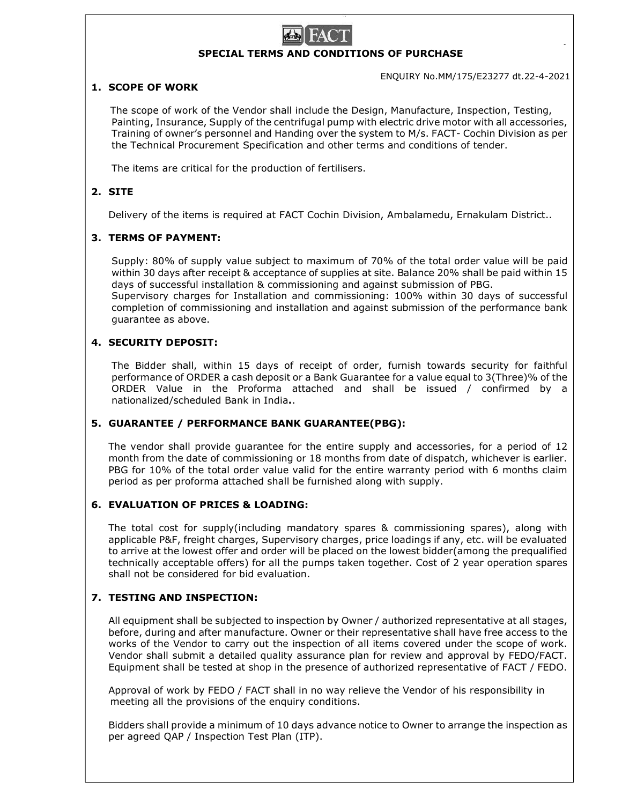# SPECIAL TERMS AND CONDITIONS OF PURCHASE

ENQUIRY No.MM/175/E23277 dt.22-4-2021

## 1. SCOPE OF WORK

 The scope of work of the Vendor shall include the Design, Manufacture, Inspection, Testing, Painting, Insurance, Supply of the centrifugal pump with electric drive motor with all accessories, Training of owner's personnel and Handing over the system to M/s. FACT- Cochin Division as per the Technical Procurement Specification and other terms and conditions of tender.

The items are critical for the production of fertilisers.

# 2. SITE

Delivery of the items is required at FACT Cochin Division, Ambalamedu, Ernakulam District..

## 3. TERMS OF PAYMENT:

Supply: 80% of supply value subject to maximum of 70% of the total order value will be paid within 30 days after receipt & acceptance of supplies at site. Balance 20% shall be paid within 15 days of successful installation & commissioning and against submission of PBG. Supervisory charges for Installation and commissioning: 100% within 30 days of successful completion of commissioning and installation and against submission of the performance bank guarantee as above.

## 4. SECURITY DEPOSIT:

The Bidder shall, within 15 days of receipt of order, furnish towards security for faithful performance of ORDER a cash deposit or a Bank Guarantee for a value equal to 3(Three)% of the ORDER Value in the Proforma attached and shall be issued / confirmed by a nationalized/scheduled Bank in India..

## 5. GUARANTEE / PERFORMANCE BANK GUARANTEE(PBG):

The vendor shall provide guarantee for the entire supply and accessories, for a period of 12 month from the date of commissioning or 18 months from date of dispatch, whichever is earlier. PBG for 10% of the total order value valid for the entire warranty period with 6 months claim period as per proforma attached shall be furnished along with supply.

#### 6. EVALUATION OF PRICES & LOADING:

The total cost for supply(including mandatory spares & commissioning spares), along with applicable P&F, freight charges, Supervisory charges, price loadings if any, etc. will be evaluated to arrive at the lowest offer and order will be placed on the lowest bidder(among the prequalified technically acceptable offers) for all the pumps taken together. Cost of 2 year operation spares shall not be considered for bid evaluation.

## 7. TESTING AND INSPECTION:

All equipment shall be subjected to inspection by Owner / authorized representative at all stages, before, during and after manufacture. Owner or their representative shall have free access to the works of the Vendor to carry out the inspection of all items covered under the scope of work. Vendor shall submit a detailed quality assurance plan for review and approval by FEDO/FACT. Equipment shall be tested at shop in the presence of authorized representative of FACT / FEDO.

Approval of work by FEDO / FACT shall in no way relieve the Vendor of his responsibility in meeting all the provisions of the enquiry conditions.

Bidders shall provide a minimum of 10 days advance notice to Owner to arrange the inspection as per agreed QAP / Inspection Test Plan (ITP).